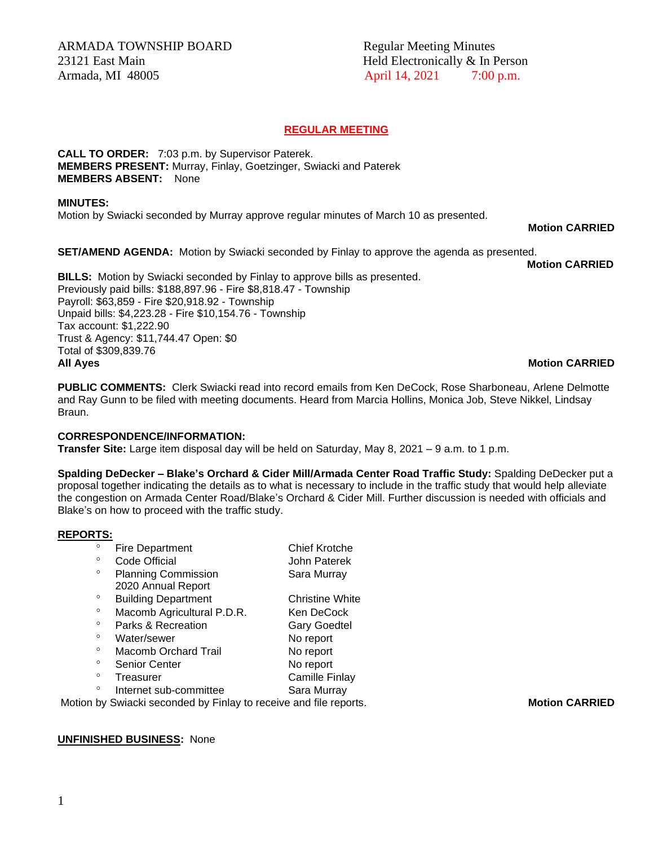# **REGULAR MEETING**

**CALL TO ORDER:** 7:03 p.m. by Supervisor Paterek. **MEMBERS PRESENT:** Murray, Finlay, Goetzinger, Swiacki and Paterek **MEMBERS ABSENT:** None

### **MINUTES:**

Motion by Swiacki seconded by Murray approve regular minutes of March 10 as presented.

**Motion CARRIED**

**SET/AMEND AGENDA:** Motion by Swiacki seconded by Finlay to approve the agenda as presented.

**Motion CARRIED**

**BILLS:** Motion by Swiacki seconded by Finlay to approve bills as presented. Previously paid bills: \$188,897.96 - Fire \$8,818.47 - Township Payroll: \$63,859 - Fire \$20,918.92 - Township Unpaid bills: \$4,223.28 - Fire \$10,154.76 - Township Tax account: \$1,222.90 Trust & Agency: \$11,744.47 Open: \$0 Total of \$309,839.76 **All Ayes Motion CARRIED**

**PUBLIC COMMENTS:** Clerk Swiacki read into record emails from Ken DeCock, Rose Sharboneau, Arlene Delmotte and Ray Gunn to be filed with meeting documents. Heard from Marcia Hollins, Monica Job, Steve Nikkel, Lindsay Braun.

## **CORRESPONDENCE/INFORMATION:**

**Transfer Site:** Large item disposal day will be held on Saturday, May 8, 2021 – 9 a.m. to 1 p.m.

**Spalding DeDecker – Blake's Orchard & Cider Mill/Armada Center Road Traffic Study:** Spalding DeDecker put a proposal together indicating the details as to what is necessary to include in the traffic study that would help alleviate the congestion on Armada Center Road/Blake's Orchard & Cider Mill. Further discussion is needed with officials and Blake's on how to proceed with the traffic study.

## **REPORTS:**

| $\circ$ | <b>Fire Department</b>     | <b>Chief Krotche</b>   |
|---------|----------------------------|------------------------|
| $\circ$ | Code Official              | John Paterek           |
| $\circ$ | <b>Planning Commission</b> | Sara Murray            |
|         | 2020 Annual Report         |                        |
| $\circ$ | <b>Building Department</b> | <b>Christine White</b> |
| $\circ$ | Macomb Agricultural P.D.R. | Ken DeCock             |
| $\circ$ | Parks & Recreation         | <b>Gary Goedtel</b>    |
| $\circ$ | Water/sewer                | No report              |
| $\circ$ | Macomb Orchard Trail       | No report              |
| $\circ$ | <b>Senior Center</b>       | No report              |
| $\circ$ | Treasurer                  | <b>Camille Finlay</b>  |
| $\circ$ | Internet sub-committee     | Sara Murray            |

Motion by Swiacki seconded by Finlay to receive and file reports. **Motion CARRIED** 

## **UNFINISHED BUSINESS:** None